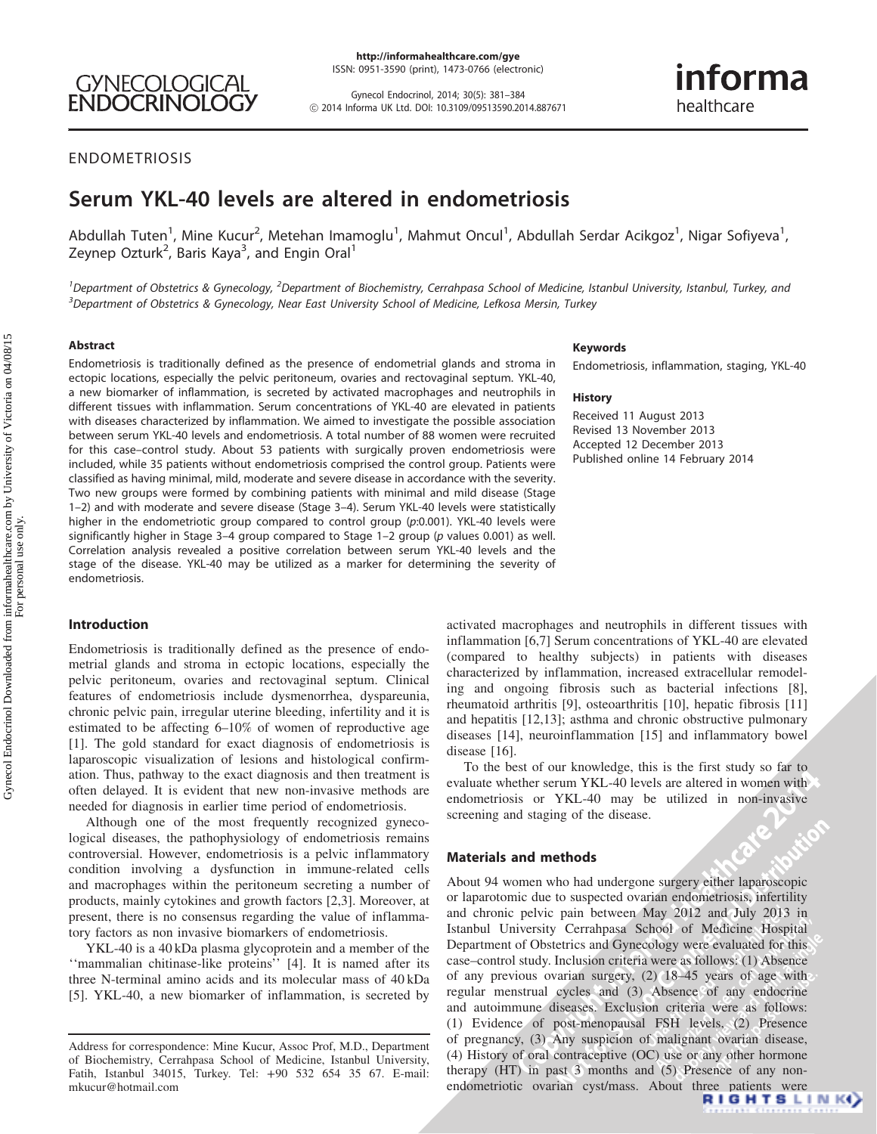http://informahealthcare.com/gye ISSN: 0951-3590 (print), 1473-0766 (electronic)

Gynecol Endocrinol, 2014; 30(5): 381–384 ! 2014 Informa UK Ltd. DOI: 10.3109/09513590.2014.887671

# informa healthcare

# ENDOMETRIOSIS

# Serum YKL-40 levels are altered in endometriosis

Abdullah Tuten<sup>1</sup>, Mine Kucur<sup>2</sup>, Metehan Imamoglu<sup>1</sup>, Mahmut Oncul<sup>1</sup>, Abdullah Serdar Acikgoz<sup>1</sup>, Nigar Sofiyeva<sup>1</sup>, Zeynep Ozturk<sup>2</sup>, Baris Kaya<sup>3</sup>, and Engin Oral<sup>1</sup>

<sup>1</sup>Department of Obstetrics & Gynecology, <sup>2</sup>Department of Biochemistry, Cerrahpasa School of Medicine, Istanbul University, Istanbul, Turkey, and <sup>3</sup>Department of Obstetrics & Gynecology, Near East University School of Medicine, Lefkosa Mersin, Turkey

#### Abstract

Endometriosis is traditionally defined as the presence of endometrial glands and stroma in ectopic locations, especially the pelvic peritoneum, ovaries and rectovaginal septum. YKL-40, a new biomarker of inflammation, is secreted by activated macrophages and neutrophils in different tissues with inflammation. Serum concentrations of YKL-40 are elevated in patients with diseases characterized by inflammation. We aimed to investigate the possible association between serum YKL-40 levels and endometriosis. A total number of 88 women were recruited for this case–control study. About 53 patients with surgically proven endometriosis were included, while 35 patients without endometriosis comprised the control group. Patients were classified as having minimal, mild, moderate and severe disease in accordance with the severity. Two new groups were formed by combining patients with minimal and mild disease (Stage 1–2) and with moderate and severe disease (Stage 3–4). Serum YKL-40 levels were statistically higher in the endometriotic group compared to control group (p:0.001). YKL-40 levels were significantly higher in Stage 3-4 group compared to Stage 1-2 group (p values 0.001) as well. Correlation analysis revealed a positive correlation between serum YKL-40 levels and the stage of the disease. YKL-40 may be utilized as a marker for determining the severity of endometriosis.

## Introduction

Endometriosis is traditionally defined as the presence of endometrial glands and stroma in ectopic locations, especially the pelvic peritoneum, ovaries and rectovaginal septum. Clinical features of endometriosis include dysmenorrhea, dyspareunia, chronic pelvic pain, irregular uterine bleeding, infertility and it is estimated to be affecting 6–10% of women of reproductive age [\[1\]](#page-3-0). The gold standard for exact diagnosis of endometriosis is laparoscopic visualization of lesions and histological confirmation. Thus, pathway to the exact diagnosis and then treatment is often delayed. It is evident that new non-invasive methods are needed for diagnosis in earlier time period of endometriosis.

Although one of the most frequently recognized gynecological diseases, the pathophysiology of endometriosis remains controversial. However, endometriosis is a pelvic inflammatory condition involving a dysfunction in immune-related cells and macrophages within the peritoneum secreting a number of products, mainly cytokines and growth factors [\[2,3](#page-3-0)]. Moreover, at present, there is no consensus regarding the value of inflammatory factors as non invasive biomarkers of endometriosis.

YKL-40 is a 40 kDa plasma glycoprotein and a member of the ''mammalian chitinase-like proteins'' [[4\]](#page-3-0). It is named after its three N-terminal amino acids and its molecular mass of 40 kDa [\[5\]](#page-3-0). YKL-40, a new biomarker of inflammation, is secreted by

#### Keywords

Endometriosis, inflammation, staging, YKL-40

#### History

Received 11 August 2013 Revised 13 November 2013 Accepted 12 December 2013 Published online 14 February 2014

activated macrophages and neutrophils in different tissues with inflammation [\[6,7\]](#page-3-0) Serum concentrations of YKL-40 are elevated (compared to healthy subjects) in patients with diseases characterized by inflammation, increased extracellular remodeling and ongoing fibrosis such as bacterial infections [[8](#page-3-0)], rheumatoid arthritis [\[9\]](#page-3-0), osteoarthritis [[10](#page-3-0)], hepatic fibrosis [\[11\]](#page-3-0) and hepatitis [\[12,13\]](#page-3-0); asthma and chronic obstructive pulmonary diseases [\[14\]](#page-3-0), neuroinflammation [\[15\]](#page-3-0) and inflammatory bowel disease [[16](#page-3-0)].

**2014**<br> **2014**<br> **2014**<br> **2014**<br> **2014** To the best of our knowledge, this is the first study so far to evaluate whether serum YKL-40 levels are altered in women with endometriosis or YKL-40 may be utilized in non-invasive screening and staging of the disease.

#### Materials and methods

About 94 women who had undergone surgery either laparoscopic or laparotomic due to suspected ovarian endometriosis, infertility and chronic pelvic pain between May 2012 and July 2013 in Istanbul University Cerrahpasa School of Medicine Hospital Department of Obstetrics and Gynecology were evaluated for this case–control study. Inclusion criteria were as follows: (1) Absence of any previous ovarian surgery, (2) 18–45 years of age with regular menstrual cycles and (3) Absence of any endocrine and autoimmune diseases. Exclusion criteria were as follows: (1) Evidence of post-menopausal FSH levels, (2) Presence of pregnancy, (3) Any suspicion of malignant ovarian disease, (4) History of oral contraceptive (OC) use or any other hormone therapy (HT) in past 3 months and (5) Presence of any nonendometriotic ovarian cyst/mass. About three patients were<br> $\begin{array}{c} \n \text{R I G H T S L I N K} \n\end{array}$ 

Address for correspondence: Mine Kucur, Assoc Prof, M.D., Department of Biochemistry, Cerrahpasa School of Medicine, Istanbul University, Fatih, Istanbul 34015, Turkey. Tel: +90 532 654 35 67. E-mail: mkucur@hotmail.com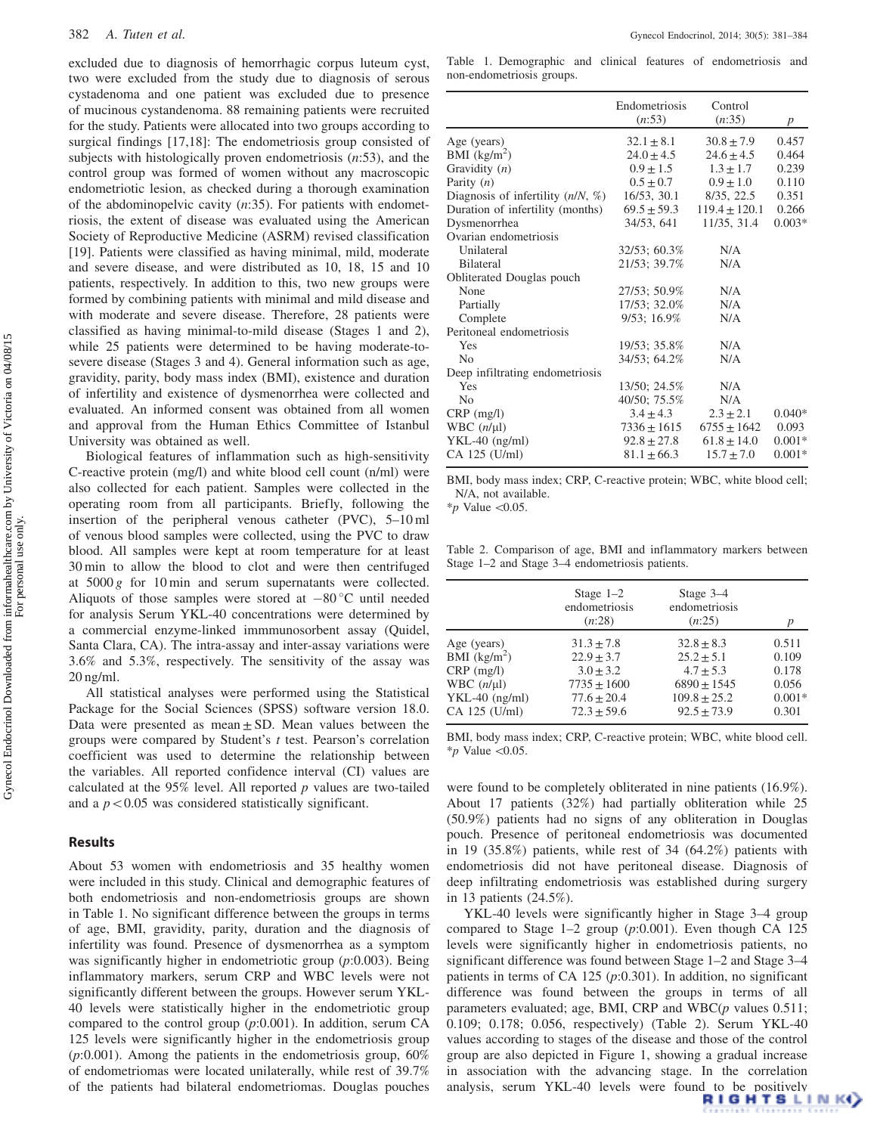excluded due to diagnosis of hemorrhagic corpus luteum cyst, two were excluded from the study due to diagnosis of serous cystadenoma and one patient was excluded due to presence of mucinous cystandenoma. 88 remaining patients were recruited for the study. Patients were allocated into two groups according to surgical findings [[17,18\]](#page-3-0): The endometriosis group consisted of subjects with histologically proven endometriosis  $(n:53)$ , and the control group was formed of women without any macroscopic endometriotic lesion, as checked during a thorough examination of the abdominopelvic cavity  $(n:35)$ . For patients with endometriosis, the extent of disease was evaluated using the American Society of Reproductive Medicine (ASRM) revised classification [\[19](#page-3-0)]. Patients were classified as having minimal, mild, moderate and severe disease, and were distributed as 10, 18, 15 and 10 patients, respectively. In addition to this, two new groups were formed by combining patients with minimal and mild disease and with moderate and severe disease. Therefore, 28 patients were classified as having minimal-to-mild disease (Stages 1 and 2), while 25 patients were determined to be having moderate-tosevere disease (Stages 3 and 4). General information such as age, gravidity, parity, body mass index (BMI), existence and duration of infertility and existence of dysmenorrhea were collected and evaluated. An informed consent was obtained from all women and approval from the Human Ethics Committee of Istanbul University was obtained as well.

Biological features of inflammation such as high-sensitivity C-reactive protein (mg/l) and white blood cell count (n/ml) were also collected for each patient. Samples were collected in the operating room from all participants. Briefly, following the insertion of the peripheral venous catheter (PVC), 5–10 ml of venous blood samples were collected, using the PVC to draw blood. All samples were kept at room temperature for at least 30 min to allow the blood to clot and were then centrifuged at 5000 g for 10 min and serum supernatants were collected. Aliquots of those samples were stored at  $-80^{\circ}$ C until needed for analysis Serum YKL-40 concentrations were determined by a commercial enzyme-linked immmunosorbent assay (Quidel, Santa Clara, CA). The intra-assay and inter-assay variations were 3.6% and 5.3%, respectively. The sensitivity of the assay was 20 ng/ml.

All statistical analyses were performed using the Statistical Package for the Social Sciences (SPSS) software version 18.0. Data were presented as mean  $\pm$  SD. Mean values between the groups were compared by Student's t test. Pearson's correlation coefficient was used to determine the relationship between the variables. All reported confidence interval (CI) values are calculated at the  $95\%$  level. All reported p values are two-tailed and a  $p<0.05$  was considered statistically significant.

## Results

About 53 women with endometriosis and 35 healthy women were included in this study. Clinical and demographic features of both endometriosis and non-endometriosis groups are shown in Table 1. No significant difference between the groups in terms of age, BMI, gravidity, parity, duration and the diagnosis of infertility was found. Presence of dysmenorrhea as a symptom was significantly higher in endometriotic group  $(p:0.003)$ . Being inflammatory markers, serum CRP and WBC levels were not significantly different between the groups. However serum YKL-40 levels were statistically higher in the endometriotic group compared to the control group (p:0.001). In addition, serum CA 125 levels were significantly higher in the endometriosis group  $(p:0.001)$ . Among the patients in the endometriosis group,  $60\%$ of endometriomas were located unilaterally, while rest of 39.7% of the patients had bilateral endometriomas. Douglas pouches

Table 1. Demographic and clinical features of endometriosis and non-endometriosis groups.

|                                     | <b>Endometriosis</b><br>(n:53) | Control<br>(n:35) | p        |
|-------------------------------------|--------------------------------|-------------------|----------|
|                                     |                                |                   |          |
| Age (years)                         | $32.1 \pm 8.1$                 | $30.8 \pm 7.9$    | 0.457    |
| BMI $(kg/m^2)$                      | $24.0 \pm 4.5$                 | $24.6 \pm 4.5$    | 0.464    |
| Gravidity $(n)$                     | $0.9 + 1.5$                    | $1.3 \pm 1.7$     | 0.239    |
| Parity $(n)$                        | $0.5 + 0.7$                    | $0.9 + 1.0$       | 0.110    |
| Diagnosis of infertility $(n/N, %)$ | 16/53, 30.1                    | 8/35, 22.5        | 0.351    |
| Duration of infertility (months)    | $69.5 \pm 59.3$                | $119.4 \pm 120.1$ | 0.266    |
| Dysmenorrhea                        | 34/53, 641                     | 11/35, 31.4       | $0.003*$ |
| Ovarian endometriosis               |                                |                   |          |
| Unilateral                          | 32/53; 60.3%                   | N/A               |          |
| <b>Bilateral</b>                    | 21/53: 39.7%                   | N/A               |          |
| Obliterated Douglas pouch           |                                |                   |          |
| None                                | 27/53; 50.9%                   | N/A               |          |
| Partially                           | 17/53; 32.0%                   | N/A               |          |
| Complete                            | $9/53$ ; 16.9%                 | N/A               |          |
| Peritoneal endometriosis            |                                |                   |          |
| Yes                                 | 19/53; 35.8%                   | N/A               |          |
| N <sub>0</sub>                      | 34/53; 64.2%                   | N/A               |          |
| Deep infiltrating endometriosis     |                                |                   |          |
| Yes                                 | 13/50; 24.5%                   | N/A               |          |
| N <sub>0</sub>                      | 40/50; 75.5%                   | N/A               |          |
| $CRP$ (mg/l)                        | $3.4 \pm 4.3$                  | $2.3 \pm 2.1$     | $0.040*$ |
| WBC $(n/\mu l)$                     | $7336 \pm 1615$                | $6755 \pm 1642$   | 0.093    |
| $YKL-40$ (ng/ml)                    | $92.8 \pm 27.8$                | $61.8 \pm 14.0$   | $0.001*$ |
| CA 125 (U/ml)                       | $81.1 \pm 66.3$                | $15.7 + 7.0$      | $0.001*$ |

BMI, body mass index; CRP, C-reactive protein; WBC, white blood cell; N/A, not available.

\*p Value  $< 0.05$ .

Table 2. Comparison of age, BMI and inflammatory markers between Stage 1–2 and Stage 3–4 endometriosis patients.

|                  | Stage $1-2$<br>endometriosis<br>(n:28) | Stage $3-4$<br>endometriosis<br>(n:25) |          |
|------------------|----------------------------------------|----------------------------------------|----------|
| Age (years)      | $31.3 + 7.8$                           | $32.8 + 8.3$                           | 0.511    |
| BMI $(kg/m2)$    | $22.9 + 3.7$                           | $25.2 + 5.1$                           | 0.109    |
| $CRP$ (mg/l)     | $3.0 + 3.2$                            | $4.7 + 5.3$                            | 0.178    |
| WBC $(n/\mu l)$  | $7735 \pm 1600$                        | $6890 + 1545$                          | 0.056    |
| $YKL-40$ (ng/ml) | $77.6 + 20.4$                          | $109.8 \pm 25.2$                       | $0.001*$ |
| CA 125 (U/ml)    | $72.3 + 59.6$                          | $92.5 + 73.9$                          | 0.301    |

BMI, body mass index; CRP, C-reactive protein; WBC, white blood cell. \*p Value  $<$ 0.05.

were found to be completely obliterated in nine patients (16.9%). About 17 patients (32%) had partially obliteration while 25 (50.9%) patients had no signs of any obliteration in Douglas pouch. Presence of peritoneal endometriosis was documented in 19 (35.8%) patients, while rest of 34 (64.2%) patients with endometriosis did not have peritoneal disease. Diagnosis of deep infiltrating endometriosis was established during surgery in 13 patients (24.5%).

YKL-40 levels were significantly higher in Stage 3–4 group compared to Stage  $1-2$  group (p:0.001). Even though CA 125 levels were significantly higher in endometriosis patients, no significant difference was found between Stage 1–2 and Stage 3–4 patients in terms of CA 125  $(p:0.301)$ . In addition, no significant difference was found between the groups in terms of all parameters evaluated; age, BMI, CRP and  $WBC(p)$  values 0.511; 0.109; 0.178; 0.056, respectively) (Table 2). Serum YKL-40 values according to stages of the disease and those of the control group are also depicted in [Figure 1,](#page-2-0) showing a gradual increase in association with the advancing stage. In the correlation analysis, serum YKL-40 levels were found to be positively **RIGHTSLINK**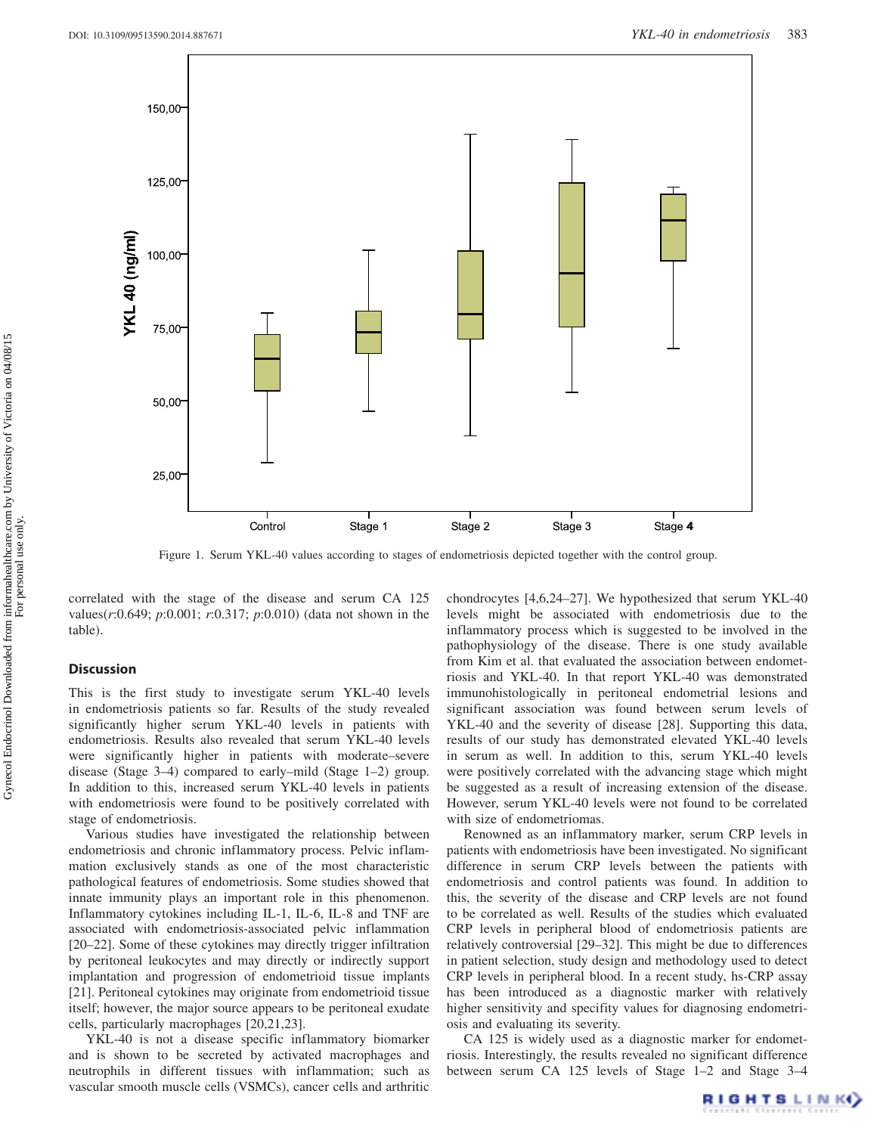<span id="page-2-0"></span>

Figure 1. Serum YKL-40 values according to stages of endometriosis depicted together with the control group.

correlated with the stage of the disease and serum CA 125 values(r:0.649; p:0.001; r:0.317; p:0.010) (data not shown in the table).

#### **Discussion**

This is the first study to investigate serum YKL-40 levels in endometriosis patients so far. Results of the study revealed significantly higher serum YKL-40 levels in patients with endometriosis. Results also revealed that serum YKL-40 levels were significantly higher in patients with moderate–severe disease (Stage 3–4) compared to early–mild (Stage 1–2) group. In addition to this, increased serum YKL-40 levels in patients with endometriosis were found to be positively correlated with stage of endometriosis.

Various studies have investigated the relationship between endometriosis and chronic inflammatory process. Pelvic inflammation exclusively stands as one of the most characteristic pathological features of endometriosis. Some studies showed that innate immunity plays an important role in this phenomenon. Inflammatory cytokines including IL-1, IL-6, IL-8 and TNF are associated with endometriosis-associated pelvic inflammation [\[20–22\]](#page-3-0). Some of these cytokines may directly trigger infiltration by peritoneal leukocytes and may directly or indirectly support implantation and progression of endometrioid tissue implants [\[21](#page-3-0)]. Peritoneal cytokines may originate from endometrioid tissue itself; however, the major source appears to be peritoneal exudate cells, particularly macrophages [\[20,21](#page-3-0),[23](#page-3-0)].

YKL-40 is not a disease specific inflammatory biomarker and is shown to be secreted by activated macrophages and neutrophils in different tissues with inflammation; such as vascular smooth muscle cells (VSMCs), cancer cells and arthritic chondrocytes [\[4,6,24–27\]](#page-3-0). We hypothesized that serum YKL-40 levels might be associated with endometriosis due to the inflammatory process which is suggested to be involved in the pathophysiology of the disease. There is one study available from Kim et al. that evaluated the association between endometriosis and YKL-40. In that report YKL-40 was demonstrated immunohistologically in peritoneal endometrial lesions and significant association was found between serum levels of YKL-40 and the severity of disease [[28](#page-3-0)]. Supporting this data, results of our study has demonstrated elevated YKL-40 levels in serum as well. In addition to this, serum YKL-40 levels were positively correlated with the advancing stage which might be suggested as a result of increasing extension of the disease. However, serum YKL-40 levels were not found to be correlated with size of endometriomas.

Renowned as an inflammatory marker, serum CRP levels in patients with endometriosis have been investigated. No significant difference in serum CRP levels between the patients with endometriosis and control patients was found. In addition to this, the severity of the disease and CRP levels are not found to be correlated as well. Results of the studies which evaluated CRP levels in peripheral blood of endometriosis patients are relatively controversial [\[29–32](#page-3-0)]. This might be due to differences in patient selection, study design and methodology used to detect CRP levels in peripheral blood. In a recent study, hs-CRP assay has been introduced as a diagnostic marker with relatively higher sensitivity and specifity values for diagnosing endometriosis and evaluating its severity.

CA 125 is widely used as a diagnostic marker for endometriosis. Interestingly, the results revealed no significant difference between serum CA 125 levels of Stage 1–2 and Stage 3–4